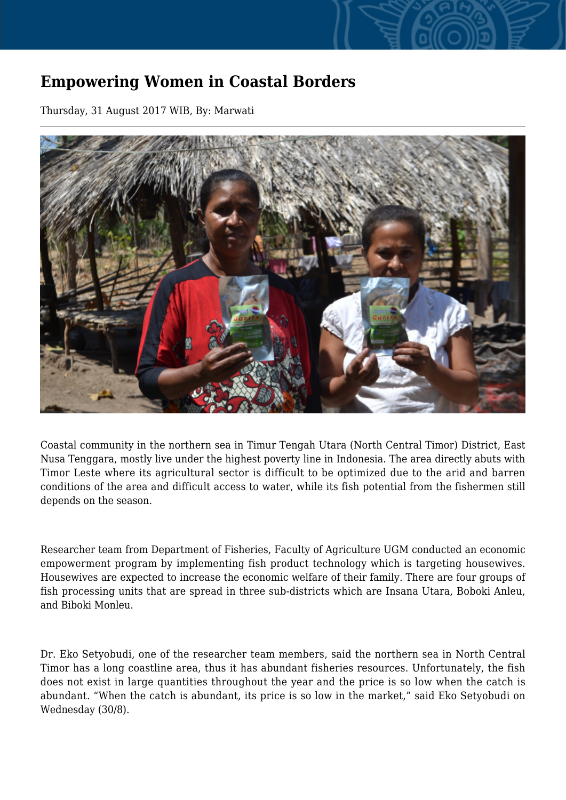## **Empowering Women in Coastal Borders**

Thursday, 31 August 2017 WIB, By: Marwati



Coastal community in the northern sea in Timur Tengah Utara (North Central Timor) District, East Nusa Tenggara, mostly live under the highest poverty line in Indonesia. The area directly abuts with Timor Leste where its agricultural sector is difficult to be optimized due to the arid and barren conditions of the area and difficult access to water, while its fish potential from the fishermen still depends on the season.

Researcher team from Department of Fisheries, Faculty of Agriculture UGM conducted an economic empowerment program by implementing fish product technology which is targeting housewives. Housewives are expected to increase the economic welfare of their family. There are four groups of fish processing units that are spread in three sub-districts which are Insana Utara, Boboki Anleu, and Biboki Monleu.

Dr. Eko Setyobudi, one of the researcher team members, said the northern sea in North Central Timor has a long coastline area, thus it has abundant fisheries resources. Unfortunately, the fish does not exist in large quantities throughout the year and the price is so low when the catch is abundant. "When the catch is abundant, its price is so low in the market," said Eko Setyobudi on Wednesday (30/8).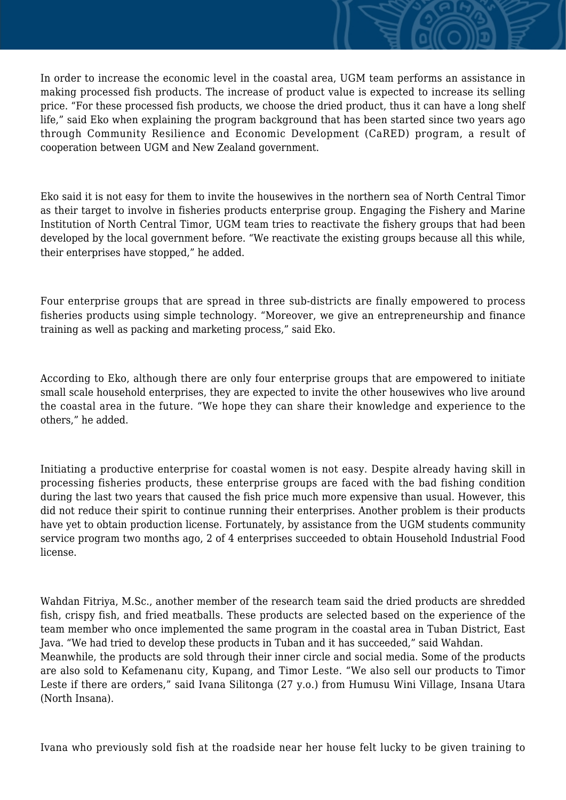In order to increase the economic level in the coastal area, UGM team performs an assistance in making processed fish products. The increase of product value is expected to increase its selling price. "For these processed fish products, we choose the dried product, thus it can have a long shelf life," said Eko when explaining the program background that has been started since two years ago through Community Resilience and Economic Development (CaRED) program, a result of cooperation between UGM and New Zealand government.

Eko said it is not easy for them to invite the housewives in the northern sea of North Central Timor as their target to involve in fisheries products enterprise group. Engaging the Fishery and Marine Institution of North Central Timor, UGM team tries to reactivate the fishery groups that had been developed by the local government before. "We reactivate the existing groups because all this while, their enterprises have stopped," he added.

Four enterprise groups that are spread in three sub-districts are finally empowered to process fisheries products using simple technology. "Moreover, we give an entrepreneurship and finance training as well as packing and marketing process," said Eko.

According to Eko, although there are only four enterprise groups that are empowered to initiate small scale household enterprises, they are expected to invite the other housewives who live around the coastal area in the future. "We hope they can share their knowledge and experience to the others," he added.

Initiating a productive enterprise for coastal women is not easy. Despite already having skill in processing fisheries products, these enterprise groups are faced with the bad fishing condition during the last two years that caused the fish price much more expensive than usual. However, this did not reduce their spirit to continue running their enterprises. Another problem is their products have yet to obtain production license. Fortunately, by assistance from the UGM students community service program two months ago, 2 of 4 enterprises succeeded to obtain Household Industrial Food license.

Wahdan Fitriya, M.Sc., another member of the research team said the dried products are shredded fish, crispy fish, and fried meatballs. These products are selected based on the experience of the team member who once implemented the same program in the coastal area in Tuban District, East Java. "We had tried to develop these products in Tuban and it has succeeded," said Wahdan.

Meanwhile, the products are sold through their inner circle and social media. Some of the products are also sold to Kefamenanu city, Kupang, and Timor Leste. "We also sell our products to Timor Leste if there are orders," said Ivana Silitonga (27 y.o.) from Humusu Wini Village, Insana Utara (North Insana).

Ivana who previously sold fish at the roadside near her house felt lucky to be given training to